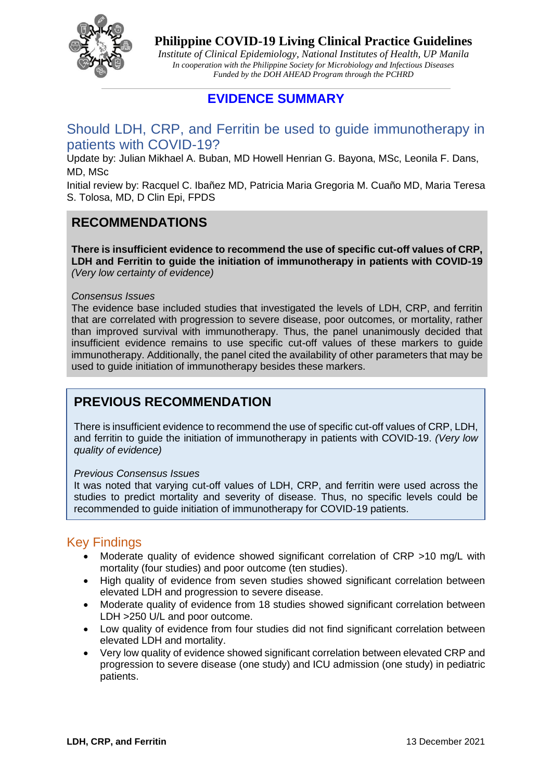

*Institute of Clinical Epidemiology, National Institutes of Health, UP Manila In cooperation with the Philippine Society for Microbiology and Infectious Diseases Funded by the DOH AHEAD Program through the PCHRD*

## **EVIDENCE SUMMARY**

## Should LDH, CRP, and Ferritin be used to guide immunotherapy in patients with COVID-19?

Update by: Julian Mikhael A. Buban, MD Howell Henrian G. Bayona, MSc, Leonila F. Dans, MD, MSc

Initial review by: Racquel C. Ibañez MD, Patricia Maria Gregoria M. Cuaño MD, Maria Teresa S. Tolosa, MD, D Clin Epi, FPDS

## **RECOMMENDATIONS**

**There is insufficient evidence to recommend the use of specific cut-off values of CRP, LDH and Ferritin to guide the initiation of immunotherapy in patients with COVID-19** *(Very low certainty of evidence)*

### *Consensus Issues*

The evidence base included studies that investigated the levels of LDH, CRP, and ferritin that are correlated with progression to severe disease, poor outcomes, or mortality, rather than improved survival with immunotherapy. Thus, the panel unanimously decided that insufficient evidence remains to use specific cut-off values of these markers to guide immunotherapy. Additionally, the panel cited the availability of other parameters that may be used to guide initiation of immunotherapy besides these markers.

## **PREVIOUS RECOMMENDATION**

There is insufficient evidence to recommend the use of specific cut-off values of CRP, LDH, and ferritin to guide the initiation of immunotherapy in patients with COVID-19. *(Very low quality of evidence)*

### *Previous Consensus Issues*

It was noted that varying cut-off values of LDH, CRP, and ferritin were used across the studies to predict mortality and severity of disease. Thus, no specific levels could be recommended to guide initiation of immunotherapy for COVID-19 patients.

## Key Findings

- Moderate quality of evidence showed significant correlation of CRP >10 mg/L with mortality (four studies) and poor outcome (ten studies).
- High quality of evidence from seven studies showed significant correlation between elevated LDH and progression to severe disease.
- Moderate quality of evidence from 18 studies showed significant correlation between LDH >250 U/L and poor outcome.
- Low quality of evidence from four studies did not find significant correlation between elevated LDH and mortality.
- Very low quality of evidence showed significant correlation between elevated CRP and progression to severe disease (one study) and ICU admission (one study) in pediatric patients.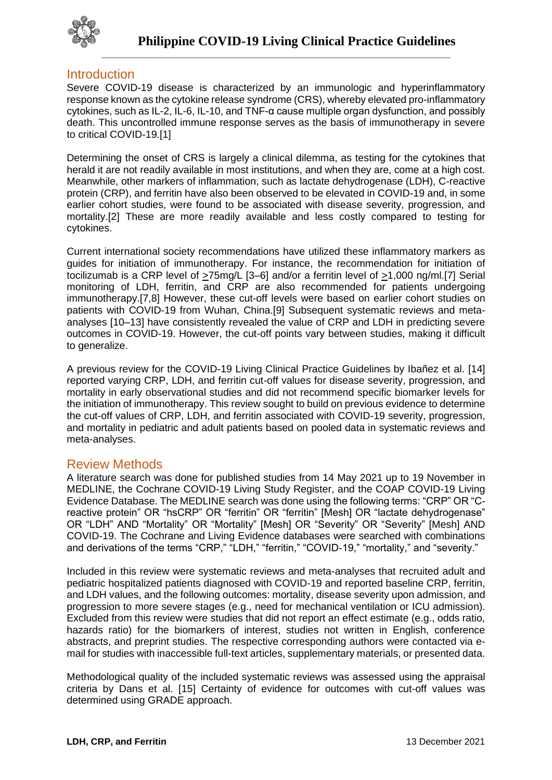

## **Introduction**

Severe COVID-19 disease is characterized by an immunologic and hyperinflammatory response known as the cytokine release syndrome (CRS), whereby elevated pro-inflammatory cytokines, such as IL-2, IL-6, IL-10, and TNF-α cause multiple organ dysfunction, and possibly death. This uncontrolled immune response serves as the basis of immunotherapy in severe to critical COVID-19.[1]

Determining the onset of CRS is largely a clinical dilemma, as testing for the cytokines that herald it are not readily available in most institutions, and when they are, come at a high cost. Meanwhile, other markers of inflammation, such as lactate dehydrogenase (LDH), C-reactive protein (CRP), and ferritin have also been observed to be elevated in COVID-19 and, in some earlier cohort studies, were found to be associated with disease severity, progression, and mortality.[2] These are more readily available and less costly compared to testing for cytokines.

Current international society recommendations have utilized these inflammatory markers as guides for initiation of immunotherapy. For instance, the recommendation for initiation of tocilizumab is a CRP level of >75mg/L [3–6] and/or a ferritin level of >1,000 ng/ml.[7] Serial monitoring of LDH, ferritin, and CRP are also recommended for patients undergoing immunotherapy.[7,8] However, these cut-off levels were based on earlier cohort studies on patients with COVID-19 from Wuhan, China.[9] Subsequent systematic reviews and metaanalyses [10–13] have consistently revealed the value of CRP and LDH in predicting severe outcomes in COVID-19. However, the cut-off points vary between studies, making it difficult to generalize.

A previous review for the COVID-19 Living Clinical Practice Guidelines by Ibañez et al. [14] reported varying CRP, LDH, and ferritin cut-off values for disease severity, progression, and mortality in early observational studies and did not recommend specific biomarker levels for the initiation of immunotherapy. This review sought to build on previous evidence to determine the cut-off values of CRP, LDH, and ferritin associated with COVID-19 severity, progression, and mortality in pediatric and adult patients based on pooled data in systematic reviews and meta-analyses.

## Review Methods

A literature search was done for published studies from 14 May 2021 up to 19 November in MEDLINE, the Cochrane COVID-19 Living Study Register, and the COAP COVID-19 Living Evidence Database. The MEDLINE search was done using the following terms: "CRP" OR "Creactive protein" OR "hsCRP" OR "ferritin" OR "ferritin" [Mesh] OR "lactate dehydrogenase" OR "LDH" AND "Mortality" OR "Mortality" [Mesh] OR "Severity" OR "Severity" [Mesh] AND COVID-19. The Cochrane and Living Evidence databases were searched with combinations and derivations of the terms "CRP," "LDH," "ferritin," "COVID-19," "mortality," and "severity."

Included in this review were systematic reviews and meta-analyses that recruited adult and pediatric hospitalized patients diagnosed with COVID-19 and reported baseline CRP, ferritin, and LDH values, and the following outcomes: mortality, disease severity upon admission, and progression to more severe stages (e.g., need for mechanical ventilation or ICU admission). Excluded from this review were studies that did not report an effect estimate (e.g., odds ratio, hazards ratio) for the biomarkers of interest, studies not written in English, conference abstracts, and preprint studies. The respective corresponding authors were contacted via email for studies with inaccessible full-text articles, supplementary materials, or presented data.

Methodological quality of the included systematic reviews was assessed using the appraisal criteria by Dans et al. [15] Certainty of evidence for outcomes with cut-off values was determined using GRADE approach.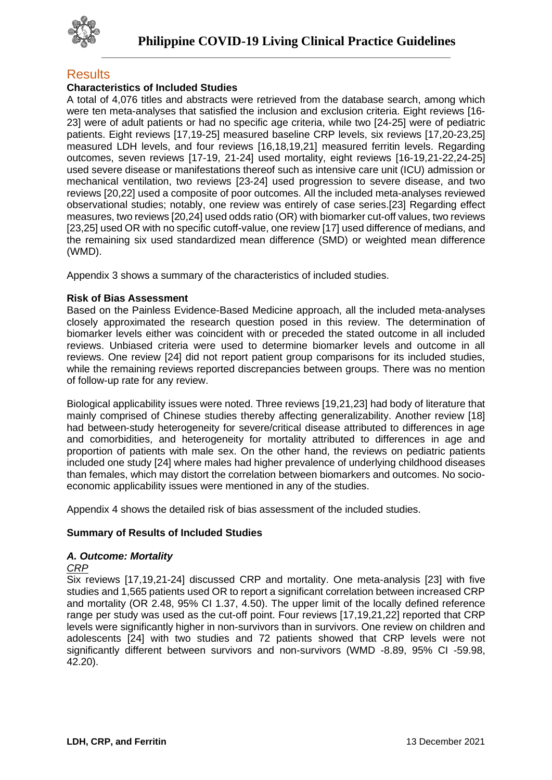

## **Results**

## **Characteristics of Included Studies**

A total of 4,076 titles and abstracts were retrieved from the database search, among which were ten meta-analyses that satisfied the inclusion and exclusion criteria. Eight reviews [16- 23] were of adult patients or had no specific age criteria, while two [24-25] were of pediatric patients. Eight reviews [17,19-25] measured baseline CRP levels, six reviews [17,20-23,25] measured LDH levels, and four reviews [16,18,19,21] measured ferritin levels. Regarding outcomes, seven reviews [17-19, 21-24] used mortality, eight reviews [16-19,21-22,24-25] used severe disease or manifestations thereof such as intensive care unit (ICU) admission or mechanical ventilation, two reviews [23-24] used progression to severe disease, and two reviews [20,22] used a composite of poor outcomes. All the included meta-analyses reviewed observational studies; notably, one review was entirely of case series.[23] Regarding effect measures, two reviews [20,24] used odds ratio (OR) with biomarker cut-off values, two reviews [23,25] used OR with no specific cutoff-value, one review [17] used difference of medians, and the remaining six used standardized mean difference (SMD) or weighted mean difference (WMD).

Appendix 3 shows a summary of the characteristics of included studies.

### **Risk of Bias Assessment**

Based on the Painless Evidence-Based Medicine approach, all the included meta-analyses closely approximated the research question posed in this review. The determination of biomarker levels either was coincident with or preceded the stated outcome in all included reviews. Unbiased criteria were used to determine biomarker levels and outcome in all reviews. One review [24] did not report patient group comparisons for its included studies, while the remaining reviews reported discrepancies between groups. There was no mention of follow-up rate for any review.

Biological applicability issues were noted. Three reviews [19,21,23] had body of literature that mainly comprised of Chinese studies thereby affecting generalizability. Another review [18] had between-study heterogeneity for severe/critical disease attributed to differences in age and comorbidities, and heterogeneity for mortality attributed to differences in age and proportion of patients with male sex. On the other hand, the reviews on pediatric patients included one study [24] where males had higher prevalence of underlying childhood diseases than females, which may distort the correlation between biomarkers and outcomes. No socioeconomic applicability issues were mentioned in any of the studies.

Appendix 4 shows the detailed risk of bias assessment of the included studies.

### **Summary of Results of Included Studies**

### *A. Outcome: Mortality*

### *CRP*

Six reviews [17,19,21-24] discussed CRP and mortality. One meta-analysis [23] with five studies and 1,565 patients used OR to report a significant correlation between increased CRP and mortality (OR 2.48, 95% CI 1.37, 4.50). The upper limit of the locally defined reference range per study was used as the cut-off point. Four reviews [17,19,21,22] reported that CRP levels were significantly higher in non-survivors than in survivors. One review on children and adolescents [24] with two studies and 72 patients showed that CRP levels were not significantly different between survivors and non-survivors (WMD -8.89, 95% CI -59.98, 42.20).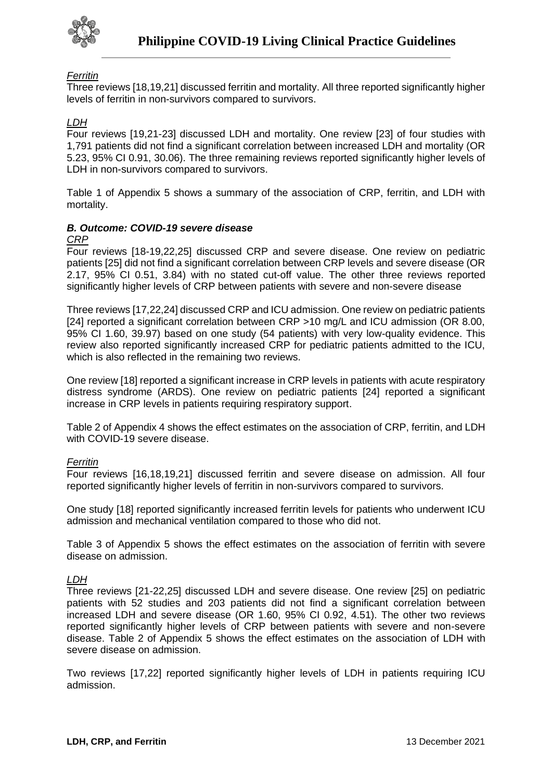

## *Ferritin*

Three reviews [18,19,21] discussed ferritin and mortality. All three reported significantly higher levels of ferritin in non-survivors compared to survivors.

## *LDH*

Four reviews [19,21-23] discussed LDH and mortality. One review [23] of four studies with 1,791 patients did not find a significant correlation between increased LDH and mortality (OR 5.23, 95% CI 0.91, 30.06). The three remaining reviews reported significantly higher levels of LDH in non-survivors compared to survivors.

Table 1 of Appendix 5 shows a summary of the association of CRP, ferritin, and LDH with mortality.

## *B. Outcome: COVID-19 severe disease*

#### *CRP*

Four reviews [18-19,22,25] discussed CRP and severe disease. One review on pediatric patients [25] did not find a significant correlation between CRP levels and severe disease (OR 2.17, 95% CI 0.51, 3.84) with no stated cut-off value. The other three reviews reported significantly higher levels of CRP between patients with severe and non-severe disease

Three reviews [17,22,24] discussed CRP and ICU admission. One review on pediatric patients [24] reported a significant correlation between CRP >10 mg/L and ICU admission (OR 8.00, 95% CI 1.60, 39.97) based on one study (54 patients) with very low-quality evidence. This review also reported significantly increased CRP for pediatric patients admitted to the ICU, which is also reflected in the remaining two reviews.

One review [18] reported a significant increase in CRP levels in patients with acute respiratory distress syndrome (ARDS). One review on pediatric patients [24] reported a significant increase in CRP levels in patients requiring respiratory support.

Table 2 of Appendix 4 shows the effect estimates on the association of CRP, ferritin, and LDH with COVID-19 severe disease.

### *Ferritin*

Four reviews [16,18,19,21] discussed ferritin and severe disease on admission. All four reported significantly higher levels of ferritin in non-survivors compared to survivors.

One study [18] reported significantly increased ferritin levels for patients who underwent ICU admission and mechanical ventilation compared to those who did not.

Table 3 of Appendix 5 shows the effect estimates on the association of ferritin with severe disease on admission.

#### *LDH*

Three reviews [21-22,25] discussed LDH and severe disease. One review [25] on pediatric patients with 52 studies and 203 patients did not find a significant correlation between increased LDH and severe disease (OR 1.60, 95% CI 0.92, 4.51). The other two reviews reported significantly higher levels of CRP between patients with severe and non-severe disease. Table 2 of Appendix 5 shows the effect estimates on the association of LDH with severe disease on admission.

Two reviews [17,22] reported significantly higher levels of LDH in patients requiring ICU admission.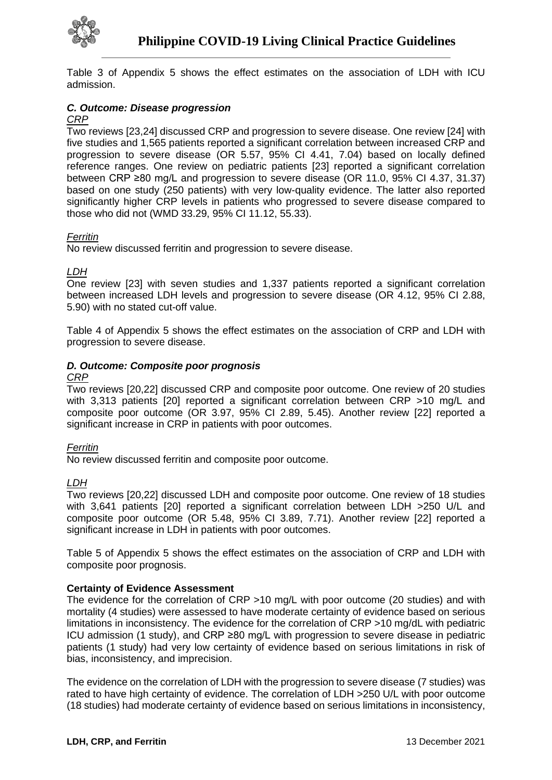

Table 3 of Appendix 5 shows the effect estimates on the association of LDH with ICU admission.

## *C. Outcome: Disease progression*

### *CRP*

Two reviews [23,24] discussed CRP and progression to severe disease. One review [24] with five studies and 1,565 patients reported a significant correlation between increased CRP and progression to severe disease (OR 5.57, 95% CI 4.41, 7.04) based on locally defined reference ranges. One review on pediatric patients [23] reported a significant correlation between CRP ≥80 mg/L and progression to severe disease (OR 11.0, 95% CI 4.37, 31.37) based on one study (250 patients) with very low-quality evidence. The latter also reported significantly higher CRP levels in patients who progressed to severe disease compared to those who did not (WMD 33.29, 95% CI 11.12, 55.33).

### *Ferritin*

No review discussed ferritin and progression to severe disease.

### *LDH*

One review [23] with seven studies and 1,337 patients reported a significant correlation between increased LDH levels and progression to severe disease (OR 4.12, 95% CI 2.88, 5.90) with no stated cut-off value.

Table 4 of Appendix 5 shows the effect estimates on the association of CRP and LDH with progression to severe disease.

### *D. Outcome: Composite poor prognosis*

#### *CRP*

Two reviews [20,22] discussed CRP and composite poor outcome. One review of 20 studies with 3,313 patients [20] reported a significant correlation between CRP >10 mg/L and composite poor outcome (OR 3.97, 95% CI 2.89, 5.45). Another review [22] reported a significant increase in CRP in patients with poor outcomes.

#### *Ferritin*

No review discussed ferritin and composite poor outcome.

### *LDH*

Two reviews [20,22] discussed LDH and composite poor outcome. One review of 18 studies with 3,641 patients [20] reported a significant correlation between LDH >250 U/L and composite poor outcome (OR 5.48, 95% CI 3.89, 7.71). Another review [22] reported a significant increase in LDH in patients with poor outcomes.

Table 5 of Appendix 5 shows the effect estimates on the association of CRP and LDH with composite poor prognosis.

### **Certainty of Evidence Assessment**

The evidence for the correlation of CRP >10 mg/L with poor outcome (20 studies) and with mortality (4 studies) were assessed to have moderate certainty of evidence based on serious limitations in inconsistency. The evidence for the correlation of CRP >10 mg/dL with pediatric ICU admission (1 study), and CRP ≥80 mg/L with progression to severe disease in pediatric patients (1 study) had very low certainty of evidence based on serious limitations in risk of bias, inconsistency, and imprecision.

The evidence on the correlation of LDH with the progression to severe disease (7 studies) was rated to have high certainty of evidence. The correlation of LDH >250 U/L with poor outcome (18 studies) had moderate certainty of evidence based on serious limitations in inconsistency,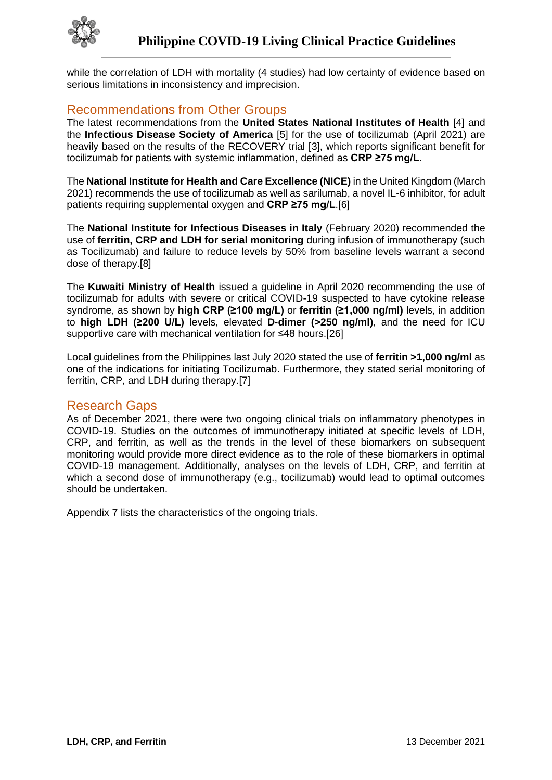

while the correlation of LDH with mortality (4 studies) had low certainty of evidence based on serious limitations in inconsistency and imprecision.

## Recommendations from Other Groups

The latest recommendations from the **United States National Institutes of Health** [4] and the **Infectious Disease Society of America** [5] for the use of tocilizumab (April 2021) are heavily based on the results of the RECOVERY trial [3], which reports significant benefit for tocilizumab for patients with systemic inflammation, defined as **CRP ≥75 mg/L**.

The **National Institute for Health and Care Excellence (NICE)** in the United Kingdom (March 2021) recommends the use of tocilizumab as well as sarilumab, a novel IL-6 inhibitor, for adult patients requiring supplemental oxygen and **CRP ≥75 mg/L**.[6]

The **National Institute for Infectious Diseases in Italy** (February 2020) recommended the use of **ferritin, CRP and LDH for serial monitoring** during infusion of immunotherapy (such as Tocilizumab) and failure to reduce levels by 50% from baseline levels warrant a second dose of therapy.[8]

The **Kuwaiti Ministry of Health** issued a guideline in April 2020 recommending the use of tocilizumab for adults with severe or critical COVID-19 suspected to have cytokine release syndrome, as shown by **high CRP (≥100 mg/L)** or **ferritin (≥1,000 ng/ml)** levels, in addition to **high LDH (≥200 U/L)** levels, elevated **D-dimer (>250 ng/ml)**, and the need for ICU supportive care with mechanical ventilation for ≤48 hours.[26]

Local guidelines from the Philippines last July 2020 stated the use of **ferritin >1,000 ng/ml** as one of the indications for initiating Tocilizumab. Furthermore, they stated serial monitoring of ferritin, CRP, and LDH during therapy.[7]

## Research Gaps

As of December 2021, there were two ongoing clinical trials on inflammatory phenotypes in COVID-19. Studies on the outcomes of immunotherapy initiated at specific levels of LDH, CRP, and ferritin, as well as the trends in the level of these biomarkers on subsequent monitoring would provide more direct evidence as to the role of these biomarkers in optimal COVID-19 management. Additionally, analyses on the levels of LDH, CRP, and ferritin at which a second dose of immunotherapy (e.g., tocilizumab) would lead to optimal outcomes should be undertaken.

Appendix 7 lists the characteristics of the ongoing trials.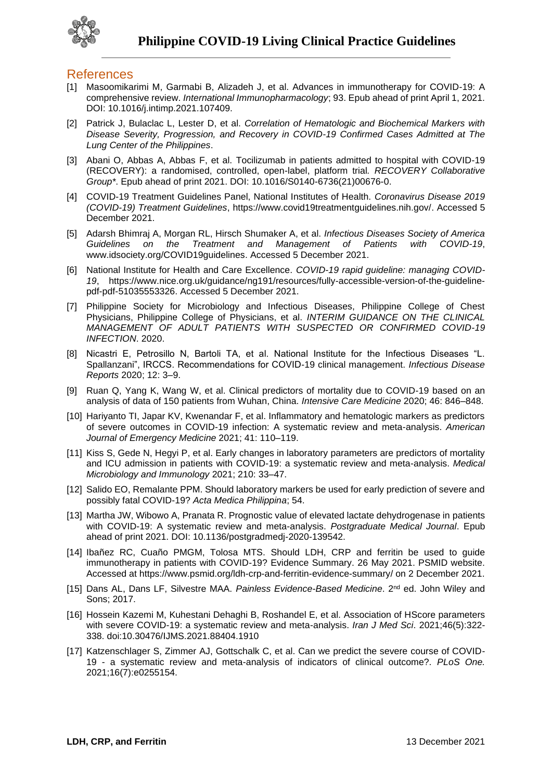

## **References**

- [1] Masoomikarimi M, Garmabi B, Alizadeh J, et al. Advances in immunotherapy for COVID-19: A comprehensive review. *International Immunopharmacology*; 93. Epub ahead of print April 1, 2021. DOI: 10.1016/j.intimp.2021.107409.
- [2] Patrick J, Bulaclac L, Lester D, et al. *Correlation of Hematologic and Biochemical Markers with Disease Severity, Progression, and Recovery in COVID-19 Confirmed Cases Admitted at The Lung Center of the Philippines*.
- [3] Abani O, Abbas A, Abbas F, et al. Tocilizumab in patients admitted to hospital with COVID-19 (RECOVERY): a randomised, controlled, open-label, platform trial*. RECOVERY Collaborative Group\**. Epub ahead of print 2021. DOI: 10.1016/S0140-6736(21)00676-0.
- [4] COVID-19 Treatment Guidelines Panel, National Institutes of Health. *Coronavirus Disease 2019 (COVID-19) Treatment Guidelines*, https://www.covid19treatmentguidelines.nih.gov/. Accessed 5 December 2021.
- [5] Adarsh Bhimraj A, Morgan RL, Hirsch Shumaker A, et al. *Infectious Diseases Society of America Guidelines on the Treatment and Management of Patients with COVID-19*, www.idsociety.org/COVID19guidelines. Accessed 5 December 2021.
- [6] National Institute for Health and Care Excellence. *COVID-19 rapid guideline: managing COVID-19*, https://www.nice.org.uk/guidance/ng191/resources/fully-accessible-version-of-the-guidelinepdf-pdf-51035553326. Accessed 5 December 2021.
- [7] Philippine Society for Microbiology and Infectious Diseases, Philippine College of Chest Physicians, Philippine College of Physicians, et al. *INTERIM GUIDANCE ON THE CLINICAL MANAGEMENT OF ADULT PATIENTS WITH SUSPECTED OR CONFIRMED COVID-19 INFECTION*. 2020.
- [8] Nicastri E, Petrosillo N, Bartoli TA, et al. National Institute for the Infectious Diseases "L. Spallanzani", IRCCS. Recommendations for COVID-19 clinical management. *Infectious Disease Reports* 2020; 12: 3–9.
- [9] Ruan Q, Yang K, Wang W, et al. Clinical predictors of mortality due to COVID-19 based on an analysis of data of 150 patients from Wuhan, China. *Intensive Care Medicine* 2020; 46: 846–848.
- [10] Hariyanto TI, Japar KV, Kwenandar F, et al. Inflammatory and hematologic markers as predictors of severe outcomes in COVID-19 infection: A systematic review and meta-analysis. *American Journal of Emergency Medicine* 2021; 41: 110–119.
- [11] Kiss S, Gede N, Hegyi P, et al. Early changes in laboratory parameters are predictors of mortality and ICU admission in patients with COVID-19: a systematic review and meta-analysis. *Medical Microbiology and Immunology* 2021; 210: 33–47.
- [12] Salido EO, Remalante PPM. Should laboratory markers be used for early prediction of severe and possibly fatal COVID-19? *Acta Medica Philippina*; 54.
- [13] Martha JW, Wibowo A, Pranata R. Prognostic value of elevated lactate dehydrogenase in patients with COVID-19: A systematic review and meta-analysis. *Postgraduate Medical Journal*. Epub ahead of print 2021. DOI: 10.1136/postgradmedj-2020-139542.
- [14] Ibañez RC, Cuaño PMGM, Tolosa MTS. Should LDH, CRP and ferritin be used to guide immunotherapy in patients with COVID-19? Evidence Summary. 26 May 2021. PSMID website. Accessed at https://www.psmid.org/ldh-crp-and-ferritin-evidence-summary/ on 2 December 2021.
- [15] Dans AL, Dans LF, Silvestre MAA. *Painless Evidence-Based Medicine*. 2nd ed. John Wiley and Sons; 2017.
- [16] Hossein Kazemi M, Kuhestani Dehaghi B, Roshandel E, et al. Association of HScore parameters with severe COVID-19: a systematic review and meta-analysis. *Iran J Med Sci*. 2021;46(5):322- 338. doi:10.30476/IJMS.2021.88404.1910
- [17] Katzenschlager S, Zimmer AJ, Gottschalk C, et al. Can we predict the severe course of COVID-19 - a systematic review and meta-analysis of indicators of clinical outcome?. *PLoS One.* 2021;16(7):e0255154.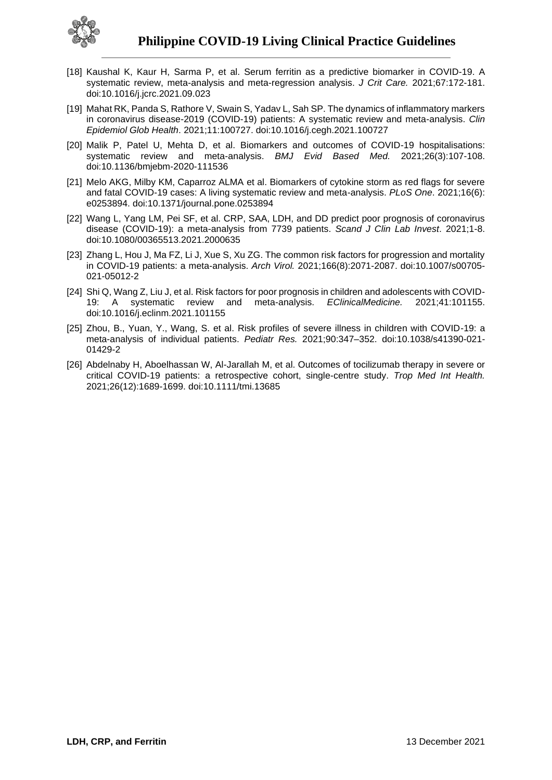

- [18] Kaushal K, Kaur H, Sarma P, et al. Serum ferritin as a predictive biomarker in COVID-19. A systematic review, meta-analysis and meta-regression analysis. *J Crit Care.* 2021;67:172-181. doi:10.1016/j.jcrc.2021.09.023
- [19] Mahat RK, Panda S, Rathore V, Swain S, Yadav L, Sah SP. The dynamics of inflammatory markers in coronavirus disease-2019 (COVID-19) patients: A systematic review and meta-analysis. *Clin Epidemiol Glob Health*. 2021;11:100727. doi:10.1016/j.cegh.2021.100727
- [20] Malik P, Patel U, Mehta D, et al. Biomarkers and outcomes of COVID-19 hospitalisations: systematic review and meta-analysis. *BMJ Evid Based Med.* 2021;26(3):107-108. doi:10.1136/bmjebm-2020-111536
- [21] Melo AKG, Milby KM, Caparroz ALMA et al. Biomarkers of cytokine storm as red flags for severe and fatal COVID-19 cases: A living systematic review and meta-analysis. *PLoS One*. 2021;16(6): e0253894. doi:10.1371/journal.pone.0253894
- [22] Wang L, Yang LM, Pei SF, et al. CRP, SAA, LDH, and DD predict poor prognosis of coronavirus disease (COVID-19): a meta-analysis from 7739 patients. *Scand J Clin Lab Invest*. 2021;1-8. doi:10.1080/00365513.2021.2000635
- [23] Zhang L, Hou J, Ma FZ, Li J, Xue S, Xu ZG. The common risk factors for progression and mortality in COVID-19 patients: a meta-analysis. *Arch Virol.* 2021;166(8):2071-2087. doi:10.1007/s00705- 021-05012-2
- [24] Shi Q, Wang Z, Liu J, et al. Risk factors for poor prognosis in children and adolescents with COVID-19: A systematic review and meta-analysis. *EClinicalMedicine.* 2021;41:101155. doi:10.1016/j.eclinm.2021.101155
- [25] Zhou, B., Yuan, Y., Wang, S. et al. Risk profiles of severe illness in children with COVID-19: a meta-analysis of individual patients. *Pediatr Res.* 2021;90:347–352. doi:10.1038/s41390-021- 01429-2
- [26] Abdelnaby H, Aboelhassan W, Al-Jarallah M, et al. Outcomes of tocilizumab therapy in severe or critical COVID-19 patients: a retrospective cohort, single-centre study. *Trop Med Int Health.*  2021;26(12):1689-1699. doi:10.1111/tmi.13685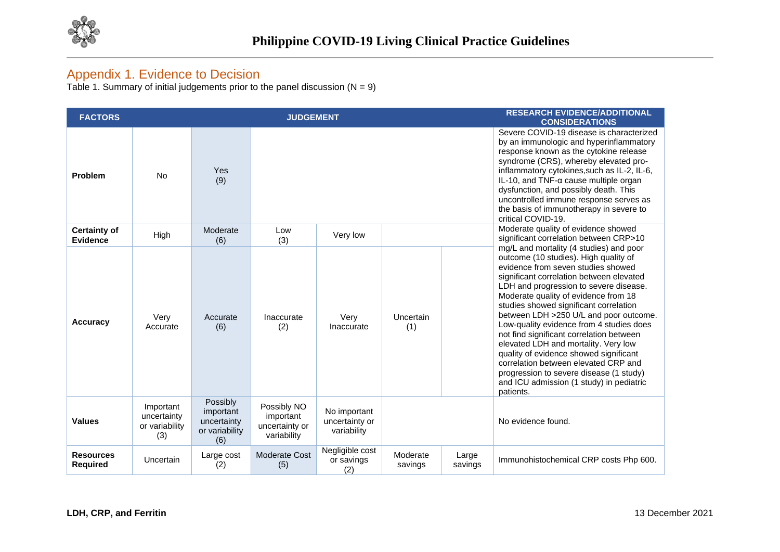

## Appendix 1. Evidence to Decision

Table 1. Summary of initial judgements prior to the panel discussion (N = 9)

| <b>FACTORS</b>                      |                                                   |                                                               | <b>JUDGEMENT</b>                                          |                                               |                     |                  | <b>RESEARCH EVIDENCE/ADDITIONAL</b><br><b>CONSIDERATIONS</b>                                                                                                                                                                                                                                                                                                                                                                                                                                                                                                                                                                                                   |
|-------------------------------------|---------------------------------------------------|---------------------------------------------------------------|-----------------------------------------------------------|-----------------------------------------------|---------------------|------------------|----------------------------------------------------------------------------------------------------------------------------------------------------------------------------------------------------------------------------------------------------------------------------------------------------------------------------------------------------------------------------------------------------------------------------------------------------------------------------------------------------------------------------------------------------------------------------------------------------------------------------------------------------------------|
| Problem                             | <b>No</b>                                         | Yes<br>(9)                                                    |                                                           |                                               |                     |                  | Severe COVID-19 disease is characterized<br>by an immunologic and hyperinflammatory<br>response known as the cytokine release<br>syndrome (CRS), whereby elevated pro-<br>inflammatory cytokines, such as IL-2, IL-6,<br>IL-10, and TNF- $\alpha$ cause multiple organ<br>dysfunction, and possibly death. This<br>uncontrolled immune response serves as<br>the basis of immunotherapy in severe to<br>critical COVID-19.                                                                                                                                                                                                                                     |
| <b>Certainty of</b><br>Evidence     | High                                              | Moderate<br>(6)                                               | Low<br>(3)                                                | Very low                                      |                     |                  | Moderate quality of evidence showed<br>significant correlation between CRP>10                                                                                                                                                                                                                                                                                                                                                                                                                                                                                                                                                                                  |
| <b>Accuracy</b>                     | Very<br>Accurate                                  | Accurate<br>(6)                                               | Inaccurate<br>(2)                                         | Very<br>Inaccurate                            | Uncertain<br>(1)    |                  | mg/L and mortality (4 studies) and poor<br>outcome (10 studies). High quality of<br>evidence from seven studies showed<br>significant correlation between elevated<br>LDH and progression to severe disease.<br>Moderate quality of evidence from 18<br>studies showed significant correlation<br>between LDH >250 U/L and poor outcome.<br>Low-quality evidence from 4 studies does<br>not find significant correlation between<br>elevated LDH and mortality. Very low<br>quality of evidence showed significant<br>correlation between elevated CRP and<br>progression to severe disease (1 study)<br>and ICU admission (1 study) in pediatric<br>patients. |
| <b>Values</b>                       | Important<br>uncertainty<br>or variability<br>(3) | Possibly<br>important<br>uncertainty<br>or variability<br>(6) | Possibly NO<br>important<br>uncertainty or<br>variability | No important<br>uncertainty or<br>variability |                     |                  | No evidence found.                                                                                                                                                                                                                                                                                                                                                                                                                                                                                                                                                                                                                                             |
| <b>Resources</b><br><b>Required</b> | Uncertain                                         | Large cost<br>(2)                                             | <b>Moderate Cost</b><br>(5)                               | Negligible cost<br>or savings<br>(2)          | Moderate<br>savings | Large<br>savings | Immunohistochemical CRP costs Php 600.                                                                                                                                                                                                                                                                                                                                                                                                                                                                                                                                                                                                                         |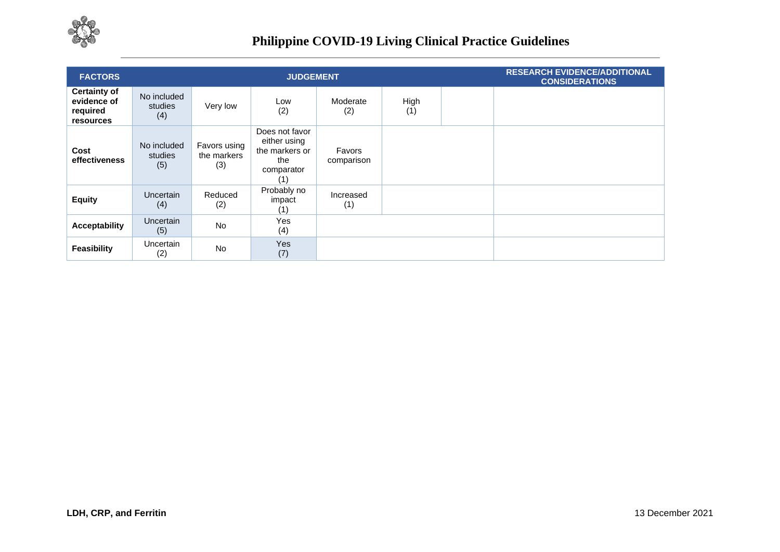

| <b>FACTORS</b>                                              |                               |                                    | <b>JUDGEMENT</b>                                                             |                      |             | <b>RESEARCH EVIDENCE/ADDITIONAL</b><br><b>CONSIDERATIONS</b> |
|-------------------------------------------------------------|-------------------------------|------------------------------------|------------------------------------------------------------------------------|----------------------|-------------|--------------------------------------------------------------|
| <b>Certainty of</b><br>evidence of<br>required<br>resources | No included<br>studies<br>(4) | Very low                           | Low<br>(2)                                                                   | Moderate<br>(2)      | High<br>(1) |                                                              |
| Cost<br>effectiveness                                       | No included<br>studies<br>(5) | Favors using<br>the markers<br>(3) | Does not favor<br>either using<br>the markers or<br>the<br>comparator<br>(1) | Favors<br>comparison |             |                                                              |
| <b>Equity</b>                                               | <b>Uncertain</b><br>(4)       | Reduced<br>(2)                     | Probably no<br>impact<br>(1)                                                 | Increased<br>(1)     |             |                                                              |
| <b>Acceptability</b>                                        | Uncertain<br>(5)              | <b>No</b>                          | Yes<br>(4)                                                                   |                      |             |                                                              |
| <b>Feasibility</b>                                          | Uncertain<br>(2)              | <b>No</b>                          | Yes<br>(7)                                                                   |                      |             |                                                              |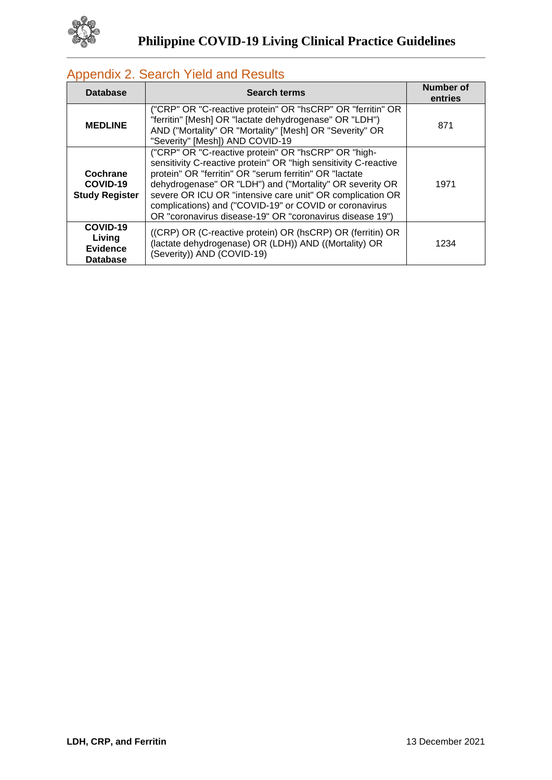

#### **Database Search terms Number of Number of Number of entries MEDLINE** ("CRP" OR "C-reactive protein" OR "hsCRP" OR "ferritin" OR "ferritin" [Mesh] OR "lactate dehydrogenase" OR "LDH") AND ("Mortality" OR "Mortality" [Mesh] OR "Severity" OR "Severity" [Mesh]) AND COVID-19 871 **Cochrane COVID-19 Study Register** ("CRP" OR "C-reactive protein" OR "hsCRP" OR "highsensitivity C-reactive protein" OR "high sensitivity C-reactive protein" OR "ferritin" OR "serum ferritin" OR "lactate dehydrogenase" OR "LDH") and ("Mortality" OR severity OR severe OR ICU OR "intensive care unit" OR complication OR complications) and ("COVID-19" or COVID or coronavirus OR "coronavirus disease-19" OR "coronavirus disease 19") 1971 **COVID-19 Living Evidence Database** ((CRP) OR (C-reactive protein) OR (hsCRP) OR (ferritin) OR (lactate dehydrogenase) OR (LDH)) AND ((Mortality) OR (Severity)) AND (COVID-19) 1234

## Appendix 2. Search Yield and Results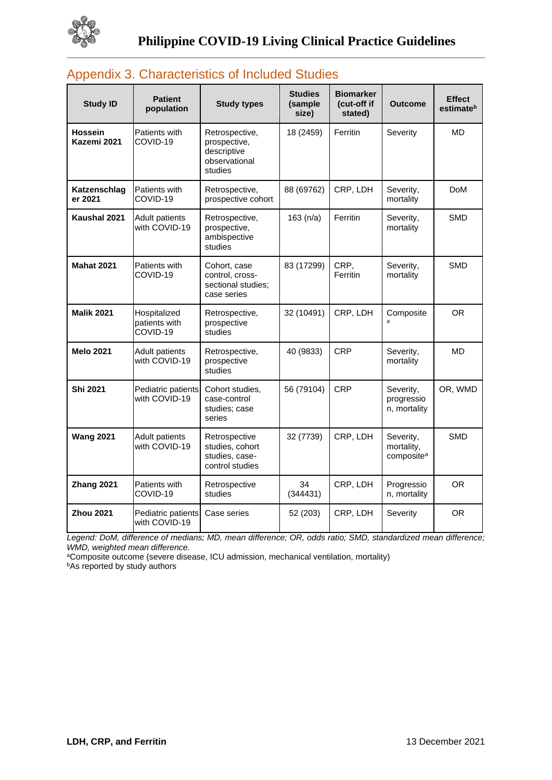

| <b>Study ID</b>         | <b>Patient</b><br>population              | <b>Study types</b>                                                        | <b>Studies</b><br>(sample<br>size) | <b>Biomarker</b><br>(cut-off if<br>stated) | <b>Outcome</b>                                    | <b>Effect</b><br>estimate <sup>b</sup> |
|-------------------------|-------------------------------------------|---------------------------------------------------------------------------|------------------------------------|--------------------------------------------|---------------------------------------------------|----------------------------------------|
| Hossein<br>Kazemi 2021  | Patients with<br>COVID-19                 | Retrospective,<br>prospective,<br>descriptive<br>observational<br>studies | 18 (2459)                          | Ferritin                                   | Severity                                          | <b>MD</b>                              |
| Katzenschlag<br>er 2021 | Patients with<br>COVID-19                 | Retrospective,<br>prospective cohort                                      | 88 (69762)                         | CRP, LDH                                   | Severity,<br>mortality                            | <b>DoM</b>                             |
| Kaushal 2021            | Adult patients<br>with COVID-19           | Retrospective,<br>prospective,<br>ambispective<br>studies                 | 163 (n/a)                          | Ferritin                                   | Severity,<br>mortality                            | <b>SMD</b>                             |
| <b>Mahat 2021</b>       | Patients with<br>COVID-19                 | Cohort, case<br>control, cross-<br>sectional studies;<br>case series      | 83 (17299)                         | CRP,<br>Ferritin                           | Severity,<br>mortality                            | <b>SMD</b>                             |
| <b>Malik 2021</b>       | Hospitalized<br>patients with<br>COVID-19 | Retrospective,<br>prospective<br>studies                                  | 32 (10491)                         | CRP, LDH                                   | Composite                                         | <b>OR</b>                              |
| <b>Melo 2021</b>        | Adult patients<br>with COVID-19           | Retrospective,<br>prospective<br>studies                                  | 40 (9833)                          | <b>CRP</b>                                 | Severity,<br>mortality                            | <b>MD</b>                              |
| <b>Shi 2021</b>         | Pediatric patients<br>with COVID-19       | Cohort studies,<br>case-control<br>studies; case<br>series                | 56 (79104)                         | <b>CRP</b>                                 | Severity,<br>progressio<br>n, mortality           | OR, WMD                                |
| <b>Wang 2021</b>        | Adult patients<br>with COVID-19           | Retrospective<br>studies, cohort<br>studies, case-<br>control studies     | 32 (7739)                          | CRP, LDH                                   | Severity,<br>mortality,<br>composite <sup>a</sup> | <b>SMD</b>                             |
| Zhang 2021              | Patients with<br>COVID-19                 | Retrospective<br>studies                                                  | 34<br>(344431)                     | CRP, LDH                                   | Progressio<br>n, mortality                        | <b>OR</b>                              |
| <b>Zhou 2021</b>        | Pediatric patients<br>with COVID-19       | Case series                                                               | 52 (203)                           | CRP, LDH                                   | Severity                                          | <b>OR</b>                              |

## Appendix 3. Characteristics of Included Studies

*Legend: DoM, difference of medians; MD, mean difference; OR, odds ratio; SMD, standardized mean difference; WMD, weighted mean difference.*

aComposite outcome (severe disease, ICU admission, mechanical ventilation, mortality)

**bAs reported by study authors**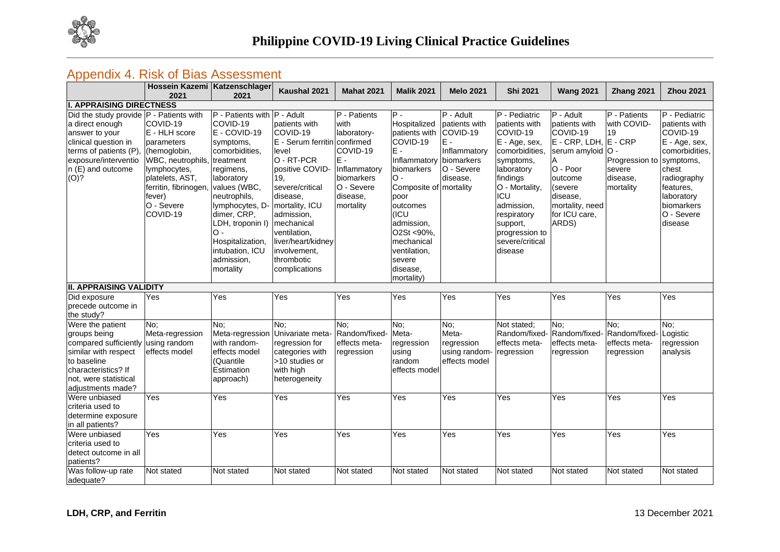

## Appendix 4. Risk of Bias Assessment

|                                                                                                                                                                                       | Hossein Kazemi Katzenschlager<br>2021                                                                                                                                                               | 2021                                                                                                                                                                                                                                                             | Kaushal 2021                                                                                                                                                                                                                                                                 | <b>Mahat 2021</b>                                                                                                             | <b>Malik 2021</b>                                                                                                                                                                                                                                 | <b>Melo 2021</b>                                                                                        | <b>Shi 2021</b>                                                                                                                                                                                                                        | <b>Wang 2021</b>                                                                                                                                                                     | Zhang 2021                                                                             | <b>Zhou 2021</b>                                                                                                                                                                             |
|---------------------------------------------------------------------------------------------------------------------------------------------------------------------------------------|-----------------------------------------------------------------------------------------------------------------------------------------------------------------------------------------------------|------------------------------------------------------------------------------------------------------------------------------------------------------------------------------------------------------------------------------------------------------------------|------------------------------------------------------------------------------------------------------------------------------------------------------------------------------------------------------------------------------------------------------------------------------|-------------------------------------------------------------------------------------------------------------------------------|---------------------------------------------------------------------------------------------------------------------------------------------------------------------------------------------------------------------------------------------------|---------------------------------------------------------------------------------------------------------|----------------------------------------------------------------------------------------------------------------------------------------------------------------------------------------------------------------------------------------|--------------------------------------------------------------------------------------------------------------------------------------------------------------------------------------|----------------------------------------------------------------------------------------|----------------------------------------------------------------------------------------------------------------------------------------------------------------------------------------------|
| <b>I. APPRAISING DIRECTNESS</b>                                                                                                                                                       |                                                                                                                                                                                                     |                                                                                                                                                                                                                                                                  |                                                                                                                                                                                                                                                                              |                                                                                                                               |                                                                                                                                                                                                                                                   |                                                                                                         |                                                                                                                                                                                                                                        |                                                                                                                                                                                      |                                                                                        |                                                                                                                                                                                              |
| Did the study provide   P - Patients with<br>a direct enough<br>answer to your<br>clinical question in<br>terms of patients (P),<br>exposure/interventio<br>n (E) and outcome<br>(O)? | COVID-19<br>E - HLH score<br>parameters<br>(hemoglobin,<br>WBC, neutrophils, treatment<br>lymphocytes,<br>platelets, AST,<br>ferritin, fibrinogen, values (WBC,<br>fever)<br>O - Severe<br>COVID-19 | P - Patients with P - Adult<br>COVID-19<br>E - COVID-19<br>symptoms,<br>comorbidities,<br>regimens,<br>laboratory<br>neutrophils,<br>lymphocytes, D-<br>dimer, CRP,<br>LDH, troponin I)<br>O -<br>Hospitalization,<br>intubation, ICU<br>admission,<br>mortality | patients with<br>COVID-19<br>E - Serum ferritin confirmed<br>level<br>O - RT-PCR<br>positive COVID-<br>19,<br>severe/critical<br>disease.<br>mortality, ICU<br>admission,<br>mechanical<br>ventilation,<br>liver/heart/kidney<br>involvement,<br>thrombotic<br>complications | P - Patients<br>with<br>laboratory-<br>COVID-19<br>$E -$<br>Inflammatory<br>biomarkers<br>O - Severe<br>disease,<br>mortality | IP -<br>Hospitalized<br>patients with<br>COVID-19<br>E -<br>Inflammatory<br>biomarkers<br>О -<br>Composite of mortality<br>poor<br>outcomes<br>(ICU<br>admission,<br>O2St <90%,<br>mechanical<br>ventilation,<br>severe<br>disease.<br>mortality) | P - Adult<br>patients with<br>COVID-19<br>$E -$<br>Inflammatory<br>biomarkers<br>O - Severe<br>disease. | P - Pediatric<br>patients with<br>COVID-19<br>E - Age, sex,<br>comorbidities,<br>symptoms,<br>laboratory<br>findings<br>O - Mortality,<br>ICU<br>admission,<br>respiratory<br>support,<br>progression to<br>severe/critical<br>disease | P - Adult<br>patients with<br>COVID-19<br>$E - CRP$ , LDH, $E - CRP$<br>serum amyloid O -<br>O - Poor<br>outcome<br>(severe<br>disease.<br>mortality, need<br>for ICU care,<br>ARDS) | P - Patients<br>with COVID-<br>19<br>Progression to<br>severe<br>disease.<br>mortality | <b>IP</b> - Pediatric<br>patients with<br>COVID-19<br>E - Age, sex,<br>comorbidities,<br>symptoms,<br>chest<br>radiography<br>features.<br>laboratory<br>biomarkers<br>O - Severe<br>disease |
| <b>II. APPRAISING VALIDITY</b>                                                                                                                                                        |                                                                                                                                                                                                     |                                                                                                                                                                                                                                                                  |                                                                                                                                                                                                                                                                              |                                                                                                                               |                                                                                                                                                                                                                                                   |                                                                                                         |                                                                                                                                                                                                                                        |                                                                                                                                                                                      |                                                                                        |                                                                                                                                                                                              |
| Did exposure<br>precede outcome in<br>the study?                                                                                                                                      | Yes                                                                                                                                                                                                 | Yes                                                                                                                                                                                                                                                              | Yes                                                                                                                                                                                                                                                                          | Yes                                                                                                                           | Yes                                                                                                                                                                                                                                               | Yes                                                                                                     | Yes                                                                                                                                                                                                                                    | Yes                                                                                                                                                                                  | Yes                                                                                    | Yes                                                                                                                                                                                          |
| Were the patient<br>groups being<br>compared sufficiently using random<br>similar with respect<br>to baseline<br>characteristics? If<br>not, were statistical<br>adjustments made?    | No:<br>Meta-regression<br>effects model                                                                                                                                                             | No;<br>Meta-regression<br>with random-<br>effects model<br>(Quantile<br>Estimation<br>approach)                                                                                                                                                                  | No:<br>Univariate meta-<br>regression for<br>categories with<br>>10 studies or<br>with high<br>heterogeneity                                                                                                                                                                 | No;<br>Random/fixed-<br>effects meta-<br>regression                                                                           | No;<br>Meta-<br>regression<br>using<br>random<br>effects model                                                                                                                                                                                    | No;<br>Meta-<br>regression<br>using random<br>effects model                                             | Not stated;<br>Random/fixed-<br>effects meta-<br>regression                                                                                                                                                                            | No;<br>Random/fixed-<br>effects meta-<br>regression                                                                                                                                  | No;<br>Random/fixed<br>effects meta-<br>regression                                     | No;<br>Logistic<br>regression<br>analysis                                                                                                                                                    |
| Were unbiased<br>criteria used to<br>determine exposure<br>in all patients?                                                                                                           | Yes                                                                                                                                                                                                 | Yes                                                                                                                                                                                                                                                              | Yes                                                                                                                                                                                                                                                                          | Yes                                                                                                                           | Yes                                                                                                                                                                                                                                               | Yes                                                                                                     | Yes                                                                                                                                                                                                                                    | Yes                                                                                                                                                                                  | Yes                                                                                    | Yes                                                                                                                                                                                          |
| Were unbiased<br>criteria used to<br>detect outcome in all<br>patients?                                                                                                               | Yes                                                                                                                                                                                                 | $\overline{Yes}$                                                                                                                                                                                                                                                 | $\overline{Yes}$                                                                                                                                                                                                                                                             | $\overline{Yes}$                                                                                                              | Yes                                                                                                                                                                                                                                               | Yes                                                                                                     | $\overline{Y}$ es                                                                                                                                                                                                                      | Yes                                                                                                                                                                                  | Yes                                                                                    | Yes                                                                                                                                                                                          |
| Was follow-up rate<br>adequate?                                                                                                                                                       | Not stated                                                                                                                                                                                          | Not stated                                                                                                                                                                                                                                                       | Not stated                                                                                                                                                                                                                                                                   | Not stated                                                                                                                    | Not stated                                                                                                                                                                                                                                        | Not stated                                                                                              | Not stated                                                                                                                                                                                                                             | Not stated                                                                                                                                                                           | Not stated                                                                             | Not stated                                                                                                                                                                                   |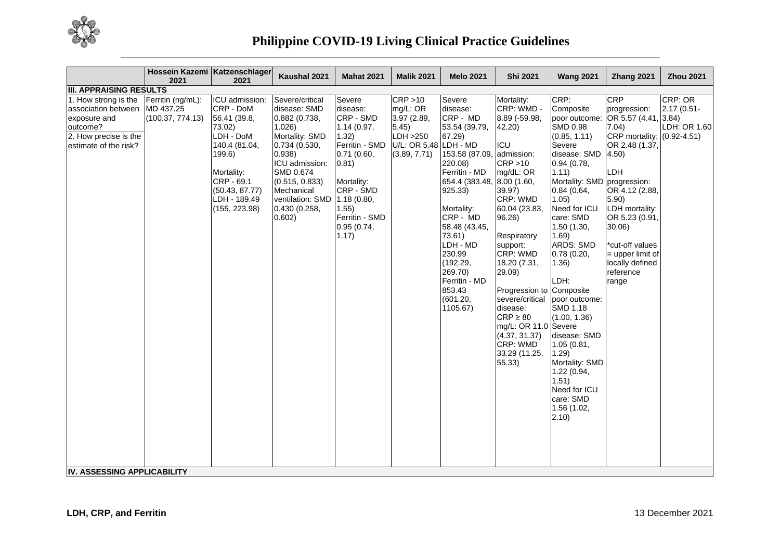

|                                                                                                                                                                           | 2021                                  | Hossein Kazemi Katzenschlager<br>2021                                                                                                                                        | Kaushal 2021                                                                                                                                                                                                                     | <b>Mahat 2021</b>                                                                                                                                                              | <b>Malik 2021</b>                                                                                  | <b>Melo 2021</b>                                                                                                                                                                                                                                                                         | <b>Shi 2021</b>                                                                                                                                                                                                                                                                                                                                                                                              | <b>Wang 2021</b>                                                                                                                                                                                                                                                                                                                                                                                                                                                      | Zhang 2021                                                                                                                                                                                                                                                                         | <b>Zhou 2021</b>                       |
|---------------------------------------------------------------------------------------------------------------------------------------------------------------------------|---------------------------------------|------------------------------------------------------------------------------------------------------------------------------------------------------------------------------|----------------------------------------------------------------------------------------------------------------------------------------------------------------------------------------------------------------------------------|--------------------------------------------------------------------------------------------------------------------------------------------------------------------------------|----------------------------------------------------------------------------------------------------|------------------------------------------------------------------------------------------------------------------------------------------------------------------------------------------------------------------------------------------------------------------------------------------|--------------------------------------------------------------------------------------------------------------------------------------------------------------------------------------------------------------------------------------------------------------------------------------------------------------------------------------------------------------------------------------------------------------|-----------------------------------------------------------------------------------------------------------------------------------------------------------------------------------------------------------------------------------------------------------------------------------------------------------------------------------------------------------------------------------------------------------------------------------------------------------------------|------------------------------------------------------------------------------------------------------------------------------------------------------------------------------------------------------------------------------------------------------------------------------------|----------------------------------------|
| <b>III. APPRAISING RESULTS</b>                                                                                                                                            |                                       |                                                                                                                                                                              |                                                                                                                                                                                                                                  |                                                                                                                                                                                |                                                                                                    |                                                                                                                                                                                                                                                                                          |                                                                                                                                                                                                                                                                                                                                                                                                              |                                                                                                                                                                                                                                                                                                                                                                                                                                                                       |                                                                                                                                                                                                                                                                                    |                                        |
| 1. How strong is the<br>association between MD 437.25<br>exposure and<br>outcome?<br>2. How precise is the<br>estimate of the risk?<br><b>IV. ASSESSING APPLICABILITY</b> | Ferritin (ng/mL):<br>(100.37, 774.13) | ICU admission:<br>CRP - DoM<br>56.41 (39.8,<br>73.02)<br>LDH - DoM<br>140.4 (81.04,<br>199.6)<br>Mortality:<br>CRP - 69.1<br>(50.43, 87.77)<br>LDH - 189.49<br>(155, 223.98) | Severe/critical<br>disease: SMD<br>0.882 (0.738,<br>1.026)<br>Mortality: SMD<br>0.734 (0.530,<br>0.938)<br>ICU admission:<br>SMD 0.674<br>(0.515, 0.833)<br>Mechanical<br>ventilation: SMD 1.18 (0.80,<br>0.430(0.258,<br>0.602) | Severe<br>disease:<br>CRP - SMD<br>1.14(0.97,<br>(1.32)<br>Ferritin - SMD<br>0.71(0.60,<br>(0.81)<br>Mortality:<br>CRP - SMD<br>1.55)<br>Ferritin - SMD<br>0.95(0.74,<br>1.17) | CRP > 10<br>mg/L: OR<br>3.97 (2.89,<br>5.45)<br>LDH > 250<br>U/L: OR 5.48 LDH - MD<br>(3.89, 7.71) | Severe<br>disease:<br>CRP - MD<br>53.54 (39.79,<br>67.29)<br>153.58 (87.09<br>220.08)<br>Ferritin - MD<br>654.4 (383.48,<br>925.33)<br>Mortality:<br>CRP - MD<br>58.48 (43.45,<br>73.61)<br>LDH - MD<br>230.99<br>(192.29,<br>269.70)<br>Ferritin - MD<br>853.43<br>(601.20,<br>1105.67) | Mortality:<br>CRP: WMD -<br>8.89 (-59.98,<br>42.20)<br><b>ICU</b><br>admission:<br>CRP > 10<br>mg/dL: OR<br>8.00 (1.60,<br>39.97)<br>CRP: WMD<br>60.04 (23.83,<br>96.26)<br>Respiratory<br>support:<br><b>CRP: WMD</b><br>18.20 (7.31,<br>29.09)<br>Progression to Composite<br>severe/critical<br>disease:<br>$CRP \geq 80$<br>mg/L: OR 11.0 Severe<br>(4.37, 31.37)<br>CRP: WMD<br>33.29 (11.25,<br>55.33) | CRP:<br>Composite<br>poor outcome:<br><b>SMD 0.98</b><br>(0.85, 1.11)<br>Severe<br>disease: SMD<br>0.94(0.78,<br>1.11)<br>Mortality: SMD progression:<br>0.84(0.64,<br>1.05<br>Need for ICU<br>care: SMD<br>1.50(1.30,<br>1.69)<br><b>ARDS: SMD</b><br>0.78(0.20,<br>1.36)<br>LDH:<br>poor outcome:<br>SMD 1.18<br>(1.00, 1.36)<br>disease: SMD<br>1.05 (0.81,<br>1.29<br>Mortality: SMD<br>1.22 (0.94,<br>1.51)<br>Need for ICU<br>care: SMD<br>1.56 (1.02,<br>2.10) | CRP<br>progression:<br>OR 5.57 (4.41, 3.84)<br>7.04)<br>CRP mortality: $(0.92 - 4.51)$<br>OR 2.48 (1.37,<br>4.50)<br>LDH<br>OR 4.12 (2.88,<br>5.90<br>LDH mortality:<br>OR 5.23 (0.91,<br>30.06)<br>*cut-off values<br>$=$ upper limit of<br>locally defined<br>reference<br>range | CRP: OR<br>2.17 (0.51-<br>LDH: OR 1.60 |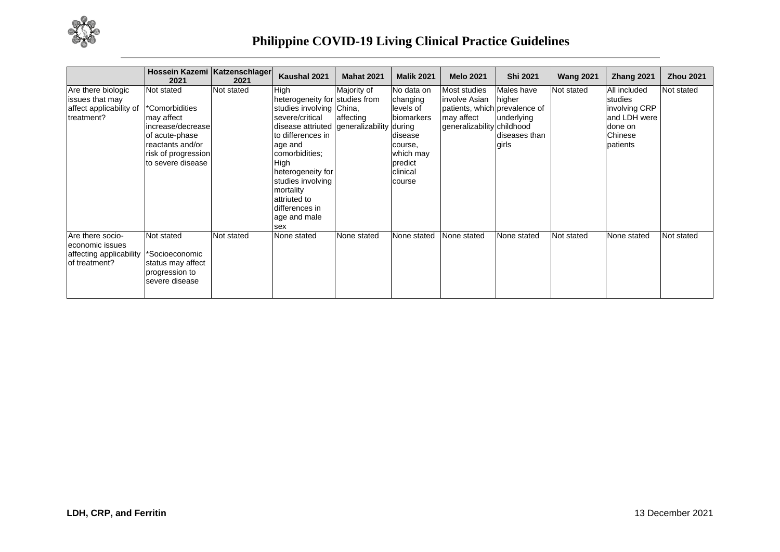

|                                                                                 | Hossein Kazemi Katzenschlager<br>2021                                                                                                             | 2021       | Kaushal 2021                                                                                                                                                                                                                                                                                                 | <b>Mahat 2021</b>        | <b>Malik 2021</b>                                                                                                     | <b>Melo 2021</b>                                                                                           | <b>Shi 2021</b>                                              | <b>Wang 2021</b> | <b>Zhang 2021</b>                                                                          | <b>Zhou 2021</b> |
|---------------------------------------------------------------------------------|---------------------------------------------------------------------------------------------------------------------------------------------------|------------|--------------------------------------------------------------------------------------------------------------------------------------------------------------------------------------------------------------------------------------------------------------------------------------------------------------|--------------------------|-----------------------------------------------------------------------------------------------------------------------|------------------------------------------------------------------------------------------------------------|--------------------------------------------------------------|------------------|--------------------------------------------------------------------------------------------|------------------|
| Are there biologic<br>issues that may<br>affect applicability of<br>treatment?  | Not stated<br>*Comorbidities<br>may affect<br>increase/decrease<br>of acute-phase<br>reactants and/or<br>risk of progression<br>to severe disease | Not stated | High<br>heterogeneity for studies from<br>studies involving China,<br>severe/critical<br>disease attriuted generalizability during<br>to differences in<br>age and<br>comorbidities;<br>High<br>heterogeneity for<br>studies involving<br>mortality<br>attriuted to<br>differences in<br>age and male<br>sex | Majority of<br>affecting | No data on<br>changing<br>levels of<br>biomarkers<br>disease<br>course,<br>which may<br>predict<br>clinical<br>course | Most studies<br>involve Asian<br>patients, which prevalence of<br>may affect<br>generalizability childhood | Males have<br>higher<br>underlying<br>diseases than<br>girls | Not stated       | All included<br>studies<br>involving CRP<br>and LDH were<br>done on<br>Chinese<br>patients | Not stated       |
| Are there socio-<br>economic issues<br>affecting applicability<br>of treatment? | Not stated<br>*Socioeconomic<br>status may affect<br>progression to<br>severe disease                                                             | Not stated | None stated                                                                                                                                                                                                                                                                                                  | None stated              | None stated                                                                                                           | None stated                                                                                                | None stated                                                  | Not stated       | None stated                                                                                | Not stated       |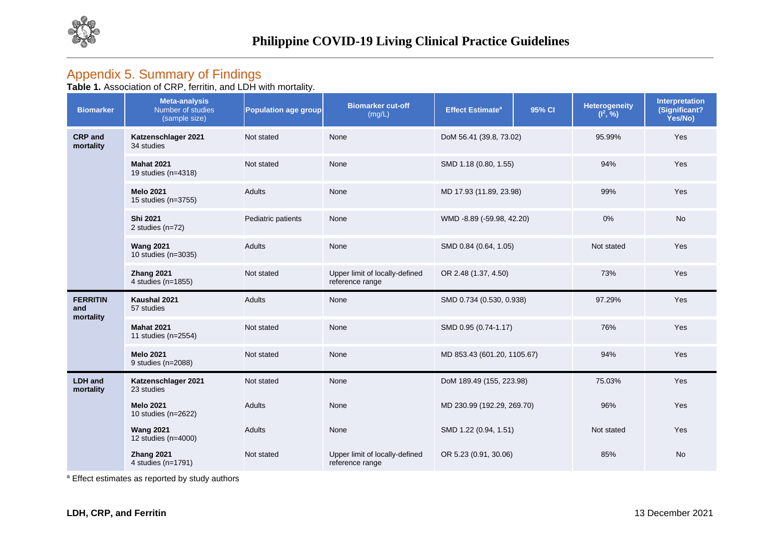

## Appendix 5. Summary of Findings

**Table 1.** Association of CRP, ferritin, and LDH with mortality.

| <b>Biomarker</b>                    | <b>Meta-analysis</b><br>Number of studies<br>(sample size) | <b>Population age group</b> | <b>Biomarker cut-off</b><br>(mg/L)                | <b>Effect Estimate<sup>a</sup></b> | 95% CI                          | <b>Heterogeneity</b><br>$(I^2, %)$ | Interpretation<br>(Significant?<br>Yes/No) |
|-------------------------------------|------------------------------------------------------------|-----------------------------|---------------------------------------------------|------------------------------------|---------------------------------|------------------------------------|--------------------------------------------|
| <b>CRP</b> and<br>mortality         | Katzenschlager 2021<br>34 studies                          | Not stated                  | None                                              | DoM 56.41 (39.8, 73.02)            |                                 | 95.99%                             | Yes                                        |
|                                     | <b>Mahat 2021</b><br>19 studies (n=4318)                   | Not stated                  | None                                              | SMD 1.18 (0.80, 1.55)              |                                 | 94%                                | Yes                                        |
|                                     | <b>Melo 2021</b><br>15 studies (n=3755)                    | <b>Adults</b>               | None                                              | MD 17.93 (11.89, 23.98)            |                                 | 99%                                | Yes                                        |
|                                     | Shi 2021<br>2 studies (n=72)                               | Pediatric patients          | None                                              |                                    | 0%<br>WMD -8.89 (-59.98, 42.20) |                                    | <b>No</b>                                  |
|                                     | <b>Wang 2021</b><br>10 studies (n=3035)                    | <b>Adults</b>               | None                                              | SMD 0.84 (0.64, 1.05)              |                                 | Not stated                         | Yes                                        |
|                                     | Zhang 2021<br>4 studies (n=1855)                           | Not stated                  | Upper limit of locally-defined<br>reference range | OR 2.48 (1.37, 4.50)               |                                 | 73%                                | Yes                                        |
| <b>FERRITIN</b><br>and<br>mortality | Kaushal 2021<br>57 studies                                 | <b>Adults</b>               | None                                              | SMD 0.734 (0.530, 0.938)           |                                 | 97.29%                             | Yes                                        |
|                                     | <b>Mahat 2021</b><br>11 studies (n=2554)                   | Not stated                  | None                                              | SMD 0.95 (0.74-1.17)               |                                 | 76%                                | Yes                                        |
|                                     | <b>Melo 2021</b><br>9 studies (n=2088)                     | Not stated                  | None                                              | MD 853.43 (601.20, 1105.67)        |                                 | 94%                                | Yes                                        |
| <b>LDH</b> and<br>mortality         | Katzenschlager 2021<br>23 studies                          | Not stated                  | None                                              | DoM 189.49 (155, 223.98)           |                                 | 75.03%                             | Yes                                        |
|                                     | <b>Melo 2021</b><br>10 studies (n=2622)                    | <b>Adults</b>               | None                                              | MD 230.99 (192.29, 269.70)         |                                 | 96%                                | Yes                                        |
|                                     | <b>Wang 2021</b><br>12 studies (n=4000)                    | <b>Adults</b>               | None                                              | SMD 1.22 (0.94, 1.51)              |                                 | Not stated                         | Yes                                        |
|                                     | Zhang 2021<br>4 studies (n=1791)                           | Not stated                  | Upper limit of locally-defined<br>reference range | OR 5.23 (0.91, 30.06)              |                                 | 85%                                | <b>No</b>                                  |

a Effect estimates as reported by study authors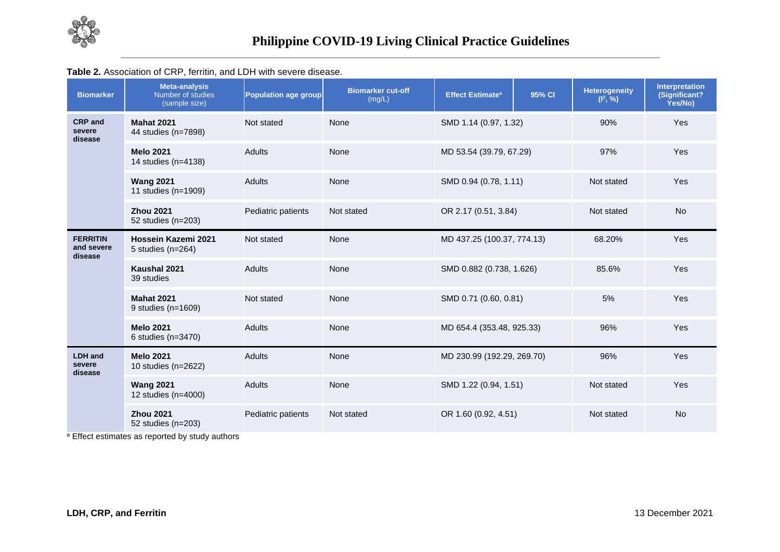

### **Table 2.** Association of CRP, ferritin, and LDH with severe disease.

| <b>Biomarker</b>                         | <b>Meta-analysis</b><br>Number of studies<br>(sample size) | Population age group | <b>Biomarker cut-off</b><br>(mg/L) | <b>Effect Estimate<sup>a</sup></b> | 95% CI                | <b>Heterogeneity</b><br>$(l^2, %)$ | Interpretation<br>(Significant?<br>Yes/No) |
|------------------------------------------|------------------------------------------------------------|----------------------|------------------------------------|------------------------------------|-----------------------|------------------------------------|--------------------------------------------|
| <b>CRP</b> and<br>severe<br>disease      | <b>Mahat 2021</b><br>44 studies (n=7898)                   | Not stated           | None                               | SMD 1.14 (0.97, 1.32)              |                       | 90%                                | <b>Yes</b>                                 |
|                                          | <b>Melo 2021</b><br>14 studies (n=4138)                    | <b>Adults</b>        | None                               | MD 53.54 (39.79, 67.29)            |                       | 97%                                | <b>Yes</b>                                 |
|                                          | <b>Wang 2021</b><br>11 studies (n=1909)                    | Adults               | None                               | SMD 0.94 (0.78, 1.11)              |                       | Not stated                         | Yes                                        |
|                                          | <b>Zhou 2021</b><br>52 studies (n=203)                     | Pediatric patients   | Not stated                         | OR 2.17 (0.51, 3.84)               |                       | Not stated                         |                                            |
| <b>FERRITIN</b><br>and severe<br>disease | Hossein Kazemi 2021<br>5 studies $(n=264)$                 | Not stated           | None                               | MD 437.25 (100.37, 774.13)         |                       | 68.20%                             | Yes                                        |
|                                          | Kaushal 2021<br>39 studies                                 | <b>Adults</b>        | None                               | SMD 0.882 (0.738, 1.626)           |                       | 85.6%                              | Yes                                        |
|                                          | <b>Mahat 2021</b><br>9 studies (n=1609)                    | Not stated           | None                               |                                    | SMD 0.71 (0.60, 0.81) |                                    | Yes                                        |
|                                          | <b>Melo 2021</b><br>6 studies (n=3470)                     | <b>Adults</b>        | None                               | MD 654.4 (353.48, 925.33)          |                       | 96%                                | <b>Yes</b>                                 |
| <b>LDH</b> and<br>severe<br>disease      | <b>Melo 2021</b><br>10 studies (n=2622)                    | <b>Adults</b>        | None                               | MD 230.99 (192.29, 269.70)         |                       | 96%                                | Yes                                        |
|                                          | <b>Wang 2021</b><br>12 studies (n=4000)                    | <b>Adults</b>        | None                               | SMD 1.22 (0.94, 1.51)              |                       | Not stated                         | Yes                                        |
|                                          | <b>Zhou 2021</b><br>52 studies (n=203)                     | Pediatric patients   | Not stated                         | OR 1.60 (0.92, 4.51)               |                       | Not stated                         | <b>No</b>                                  |

a Effect estimates as reported by study authors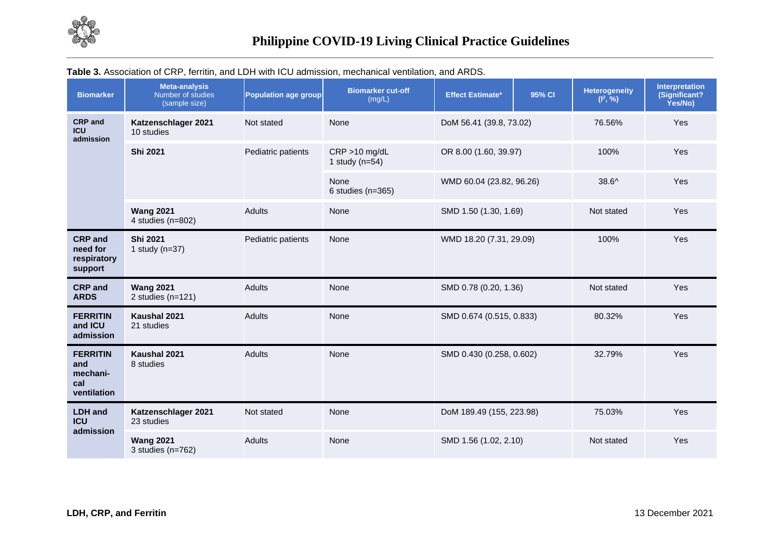

| <b>Biomarker</b>                                         | <b>Meta-analysis</b><br>Number of studies<br>(sample size) | <b>Population age group</b> | <b>Biomarker cut-off</b><br>(mg/L)   | <b>Effect Estimate<sup>a</sup></b> | 95% CI | <b>Heterogeneity</b><br>$(l^2, %)$ | <b>Interpretation</b><br>(Significant?<br>Yes/No) |
|----------------------------------------------------------|------------------------------------------------------------|-----------------------------|--------------------------------------|------------------------------------|--------|------------------------------------|---------------------------------------------------|
| <b>CRP</b> and<br><b>ICU</b><br>admission                | Katzenschlager 2021<br>10 studies                          | Not stated                  | None                                 | DoM 56.41 (39.8, 73.02)            |        | 76.56%                             | Yes                                               |
|                                                          | Shi 2021                                                   | Pediatric patients          | $CRP > 10$ mg/dL<br>1 study $(n=54)$ | OR 8.00 (1.60, 39.97)              |        | 100%                               | Yes                                               |
|                                                          |                                                            |                             | None<br>6 studies ( $n=365$ )        | WMD 60.04 (23.82, 96.26)           |        | $38.6^{\circ}$                     | Yes                                               |
|                                                          | <b>Wang 2021</b><br>4 studies (n=802)                      | <b>Adults</b>               | None                                 | SMD 1.50 (1.30, 1.69)              |        | Not stated                         |                                                   |
| <b>CRP</b> and<br>need for<br>respiratory<br>support     | <b>Shi 2021</b><br>1 study $(n=37)$                        | Pediatric patients          | None                                 | WMD 18.20 (7.31, 29.09)            |        | 100%                               | Yes                                               |
| <b>CRP</b> and<br><b>ARDS</b>                            | <b>Wang 2021</b><br>2 studies $(n=121)$                    | <b>Adults</b>               | None                                 | SMD 0.78 (0.20, 1.36)              |        | Not stated                         | Yes                                               |
| <b>FERRITIN</b><br>and ICU<br>admission                  | Kaushal 2021<br>21 studies                                 | <b>Adults</b>               | None                                 | SMD 0.674 (0.515, 0.833)           |        | 80.32%                             | Yes                                               |
| <b>FERRITIN</b><br>and<br>mechani-<br>cal<br>ventilation | Kaushal 2021<br>8 studies                                  | <b>Adults</b>               | None                                 | SMD 0.430 (0.258, 0.602)           |        | 32.79%                             | Yes                                               |
| <b>LDH</b> and<br><b>ICU</b>                             | Katzenschlager 2021<br>23 studies                          | Not stated                  | None                                 | DoM 189.49 (155, 223.98)           |        | 75.03%                             | Yes                                               |
| admission                                                | <b>Wang 2021</b><br>3 studies $(n=762)$                    | <b>Adults</b>               | None                                 | SMD 1.56 (1.02, 2.10)              |        | Not stated                         | Yes                                               |

## **Table 3.** Association of CRP, ferritin, and LDH with ICU admission, mechanical ventilation, and ARDS.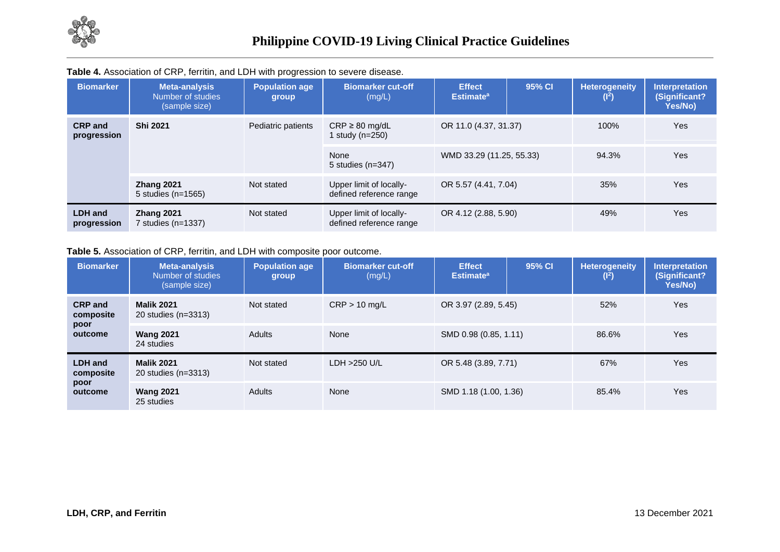

| <b>Biomarker</b>              | <b>Meta-analysis</b><br>Number of studies<br>(sample size) | <b>Population age</b><br>group | <b>Biomarker cut-off</b><br>(mg/L)                 | <b>Effect</b><br><b>Estimate<sup>a</sup></b> | 95% CI | <b>Heterogeneity</b><br>(I <sup>2</sup> ) | <b>Interpretation</b><br>(Significant?<br>Yes/No) |
|-------------------------------|------------------------------------------------------------|--------------------------------|----------------------------------------------------|----------------------------------------------|--------|-------------------------------------------|---------------------------------------------------|
| <b>CRP</b> and<br>progression | <b>Shi 2021</b>                                            | Pediatric patients             | $CRP \geq 80$ mg/dL<br>1 study (n=250)             | OR 11.0 (4.37, 31.37)                        |        | 100%                                      | Yes                                               |
|                               |                                                            |                                | None<br>5 studies $(n=347)$                        | WMD 33.29 (11.25, 55.33)                     |        | 94.3%                                     | Yes                                               |
|                               | Zhang 2021<br>5 studies (n=1565)                           | Not stated                     | Upper limit of locally-<br>defined reference range | OR 5.57 (4.41, 7.04)                         |        | 35%                                       | Yes                                               |
| <b>LDH</b> and<br>progression | Zhang 2021<br>7 studies (n=1337)                           | Not stated                     | Upper limit of locally-<br>defined reference range | OR 4.12 (2.88, 5.90)                         |        | 49%                                       | Yes                                               |

#### **Table 4.** Association of CRP, ferritin, and LDH with progression to severe disease.

### **Table 5.** Association of CRP, ferritin, and LDH with composite poor outcome.

| <b>Biomarker</b>            | <b>Meta-analysis</b><br>Number of studies<br>(sample size) | Population age<br>group | <b>Biomarker cut-off</b><br>(mg/L) | <b>Effect</b><br><b>Estimate<sup>a</sup></b> | 95% CI | <b>Heterogeneity</b><br>(1 <sup>2</sup> ) | <b>Interpretation</b><br>(Significant?<br>Yes/No) |
|-----------------------------|------------------------------------------------------------|-------------------------|------------------------------------|----------------------------------------------|--------|-------------------------------------------|---------------------------------------------------|
| <b>CRP</b> and<br>composite | <b>Malik 2021</b><br>20 studies (n=3313)                   | Not stated              | $CRP > 10$ mg/L                    | OR 3.97 (2.89, 5.45)                         |        | 52%                                       | <b>Yes</b>                                        |
| poor<br>outcome             | <b>Wang 2021</b><br>24 studies                             | <b>Adults</b>           | None                               | SMD 0.98 (0.85, 1.11)                        |        | 86.6%                                     | <b>Yes</b>                                        |
| <b>LDH</b> and<br>composite | <b>Malik 2021</b><br>20 studies (n=3313)                   | Not stated              | $LDH > 250$ U/L                    | OR 5.48 (3.89, 7.71)                         |        | 67%                                       | <b>Yes</b>                                        |
| poor<br>outcome             | <b>Wang 2021</b><br>25 studies                             | <b>Adults</b>           | None                               | SMD 1.18 (1.00, 1.36)                        |        | 85.4%                                     | <b>Yes</b>                                        |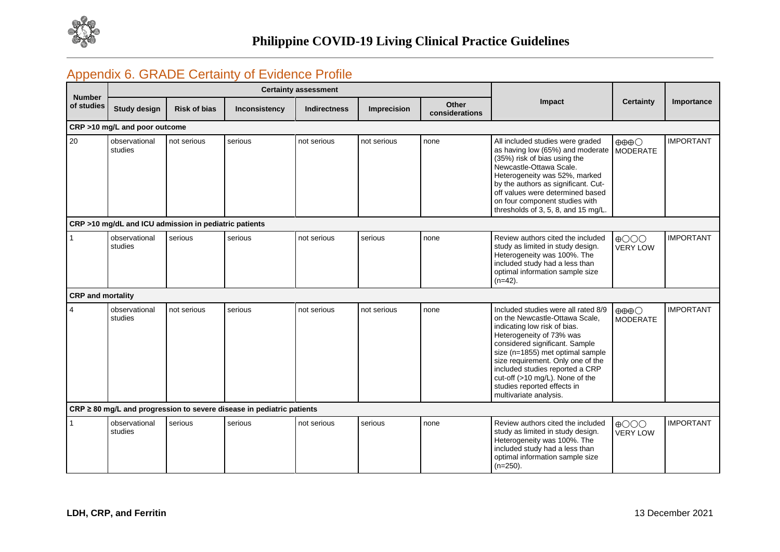

## Appendix 6. GRADE Certainty of Evidence Profile

| <b>Number</b>            |                                                       |                     |                                                                            | <b>Certainty assessment</b> |                    |                         |                                                                                                                                                                                                                                                                                                                                                                             |                                                    |                  |
|--------------------------|-------------------------------------------------------|---------------------|----------------------------------------------------------------------------|-----------------------------|--------------------|-------------------------|-----------------------------------------------------------------------------------------------------------------------------------------------------------------------------------------------------------------------------------------------------------------------------------------------------------------------------------------------------------------------------|----------------------------------------------------|------------------|
| of studies               | <b>Study design</b>                                   | <b>Risk of bias</b> | Inconsistency                                                              | <b>Indirectness</b>         | <b>Imprecision</b> | Other<br>considerations | Impact                                                                                                                                                                                                                                                                                                                                                                      | <b>Certainty</b>                                   | Importance       |
|                          | CRP >10 mg/L and poor outcome                         |                     |                                                                            |                             |                    |                         |                                                                                                                                                                                                                                                                                                                                                                             |                                                    |                  |
| 20                       | observational<br>studies                              | not serious         | serious                                                                    | not serious                 | not serious        | none                    | All included studies were graded<br>as having low (65%) and moderate<br>(35%) risk of bias using the<br>Newcastle-Ottawa Scale.<br>Heterogeneity was 52%, marked<br>by the authors as significant. Cut-<br>off values were determined based<br>on four component studies with<br>thresholds of 3, 5, 8, and 15 mg/L.                                                        | $\oplus \oplus \oplus \bigcirc$<br><b>MODERATE</b> | <b>IMPORTANT</b> |
|                          | CRP >10 mg/dL and ICU admission in pediatric patients |                     |                                                                            |                             |                    |                         |                                                                                                                                                                                                                                                                                                                                                                             |                                                    |                  |
|                          | observational<br>studies                              | serious             | serious                                                                    | not serious                 | serious            | none                    | Review authors cited the included<br>study as limited in study design.<br>Heterogeneity was 100%. The<br>included study had a less than<br>optimal information sample size<br>$(n=42)$ .                                                                                                                                                                                    | $\bigoplus$ OOO<br><b>VERY LOW</b>                 | <b>IMPORTANT</b> |
| <b>CRP</b> and mortality |                                                       |                     |                                                                            |                             |                    |                         |                                                                                                                                                                                                                                                                                                                                                                             |                                                    |                  |
| $\overline{4}$           | observational<br>studies                              | not serious         | serious                                                                    | not serious                 | not serious        | none                    | Included studies were all rated 8/9<br>on the Newcastle-Ottawa Scale,<br>indicating low risk of bias.<br>Heterogeneity of 73% was<br>considered significant. Sample<br>size (n=1855) met optimal sample<br>size requirement. Only one of the<br>included studies reported a CRP<br>cut-off (>10 mg/L). None of the<br>studies reported effects in<br>multivariate analysis. | $\oplus \oplus \oplus \bigcirc$<br><b>MODERATE</b> | <b>IMPORTANT</b> |
|                          |                                                       |                     | $CRP \geq 80$ mg/L and progression to severe disease in pediatric patients |                             |                    |                         |                                                                                                                                                                                                                                                                                                                                                                             |                                                    |                  |
|                          | observational<br>studies                              | serious             | serious                                                                    | not serious                 | serious            | none                    | Review authors cited the included<br>study as limited in study design.<br>Heterogeneity was 100%. The<br>included study had a less than<br>optimal information sample size<br>$(n=250)$ .                                                                                                                                                                                   | $\bigoplus$ OOO<br><b>VERY LOW</b>                 | <b>IMPORTANT</b> |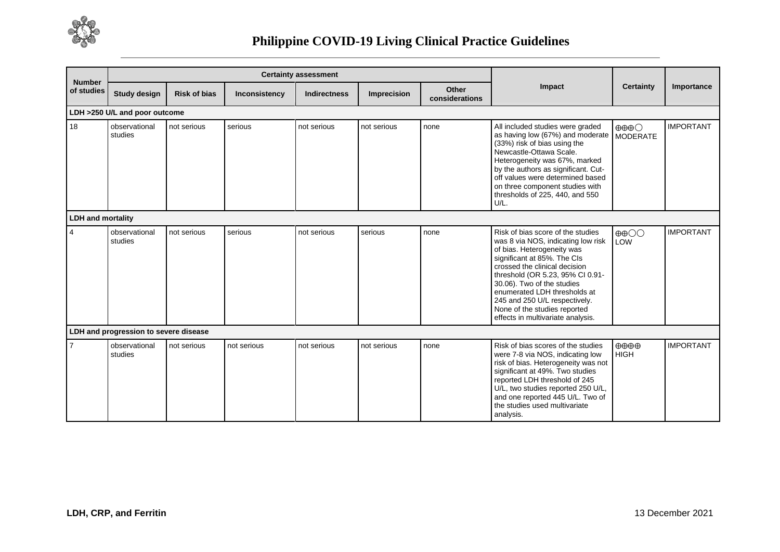

| <b>Number</b><br>of studies           |                          |                     | <b>Certainty assessment</b> |                     |             |                         |                                                                                                                                                                                                                                                                                                                                                                               |                                                    |                  |  |  |  |
|---------------------------------------|--------------------------|---------------------|-----------------------------|---------------------|-------------|-------------------------|-------------------------------------------------------------------------------------------------------------------------------------------------------------------------------------------------------------------------------------------------------------------------------------------------------------------------------------------------------------------------------|----------------------------------------------------|------------------|--|--|--|
|                                       | <b>Study design</b>      | <b>Risk of bias</b> | Inconsistency               | <b>Indirectness</b> | Imprecision | Other<br>considerations | Impact                                                                                                                                                                                                                                                                                                                                                                        | <b>Certainty</b>                                   | Importance       |  |  |  |
| LDH >250 U/L and poor outcome         |                          |                     |                             |                     |             |                         |                                                                                                                                                                                                                                                                                                                                                                               |                                                    |                  |  |  |  |
| 18                                    | observational<br>studies | not serious         | serious                     | not serious         | not serious | none                    | All included studies were graded<br>as having low (67%) and moderate<br>(33%) risk of bias using the<br>Newcastle-Ottawa Scale.<br>Heterogeneity was 67%, marked<br>by the authors as significant. Cut-<br>off values were determined based<br>on three component studies with<br>thresholds of 225, 440, and 550<br>U/L.                                                     | $\oplus \oplus \oplus \bigcirc$<br><b>MODERATE</b> | <b>IMPORTANT</b> |  |  |  |
| <b>LDH and mortality</b>              |                          |                     |                             |                     |             |                         |                                                                                                                                                                                                                                                                                                                                                                               |                                                    |                  |  |  |  |
| $\overline{4}$                        | observational<br>studies | not serious         | serious                     | not serious         | serious     | none                    | Risk of bias score of the studies<br>was 8 via NOS, indicating low risk<br>of bias. Heterogeneity was<br>significant at 85%. The CIs<br>crossed the clinical decision<br>threshold (OR 5.23, 95% CI 0.91-<br>30.06). Two of the studies<br>enumerated LDH thresholds at<br>245 and 250 U/L respectively.<br>None of the studies reported<br>effects in multivariate analysis. | $\oplus$ $\oplus$<br>LOW                           | <b>IMPORTANT</b> |  |  |  |
| LDH and progression to severe disease |                          |                     |                             |                     |             |                         |                                                                                                                                                                                                                                                                                                                                                                               |                                                    |                  |  |  |  |
| $\overline{7}$                        | observational<br>studies | not serious         | not serious                 | not serious         | not serious | none                    | Risk of bias scores of the studies<br>were 7-8 via NOS, indicating low<br>risk of bias. Heterogeneity was not<br>significant at 49%. Two studies<br>reported LDH threshold of 245<br>U/L, two studies reported 250 U/L,<br>and one reported 445 U/L. Two of<br>the studies used multivariate<br>analysis.                                                                     | $\oplus \oplus \oplus \oplus$<br><b>HIGH</b>       | <b>IMPORTANT</b> |  |  |  |